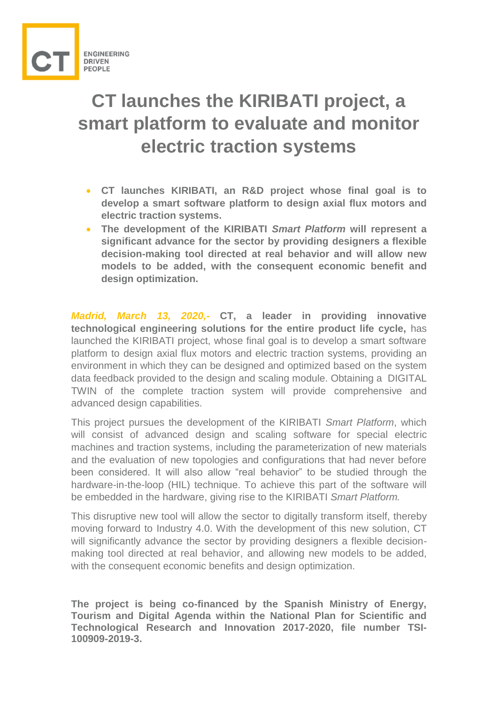

## **CT launches the KIRIBATI project, a smart platform to evaluate and monitor electric traction systems**

- **CT launches KIRIBATI, an R&D project whose final goal is to develop a smart software platform to design axial flux motors and electric traction systems.**
- **The development of the KIRIBATI** *Smart Platform* **will represent a significant advance for the sector by providing designers a flexible decision-making tool directed at real behavior and will allow new models to be added, with the consequent economic benefit and design optimization.**

*Madrid, March 13, 2020,-* **CT, a leader in providing innovative technological engineering solutions for the entire product life cycle,** has launched the KIRIBATI project, whose final goal is to develop a smart software platform to design axial flux motors and electric traction systems, providing an environment in which they can be designed and optimized based on the system data feedback provided to the design and scaling module. Obtaining a DIGITAL TWIN of the complete traction system will provide comprehensive and advanced design capabilities.

This project pursues the development of the KIRIBATI *Smart Platform*, which will consist of advanced design and scaling software for special electric machines and traction systems, including the parameterization of new materials and the evaluation of new topologies and configurations that had never before been considered. It will also allow "real behavior" to be studied through the hardware-in-the-loop (HIL) technique. To achieve this part of the software will be embedded in the hardware, giving rise to the KIRIBATI *Smart Platform.*

This disruptive new tool will allow the sector to digitally transform itself, thereby moving forward to Industry 4.0. With the development of this new solution, CT will significantly advance the sector by providing designers a flexible decisionmaking tool directed at real behavior, and allowing new models to be added, with the consequent economic benefits and design optimization.

**The project is being co-financed by the Spanish Ministry of Energy, Tourism and Digital Agenda within the National Plan for Scientific and Technological Research and Innovation 2017-2020, file number TSI-100909-2019-3.**